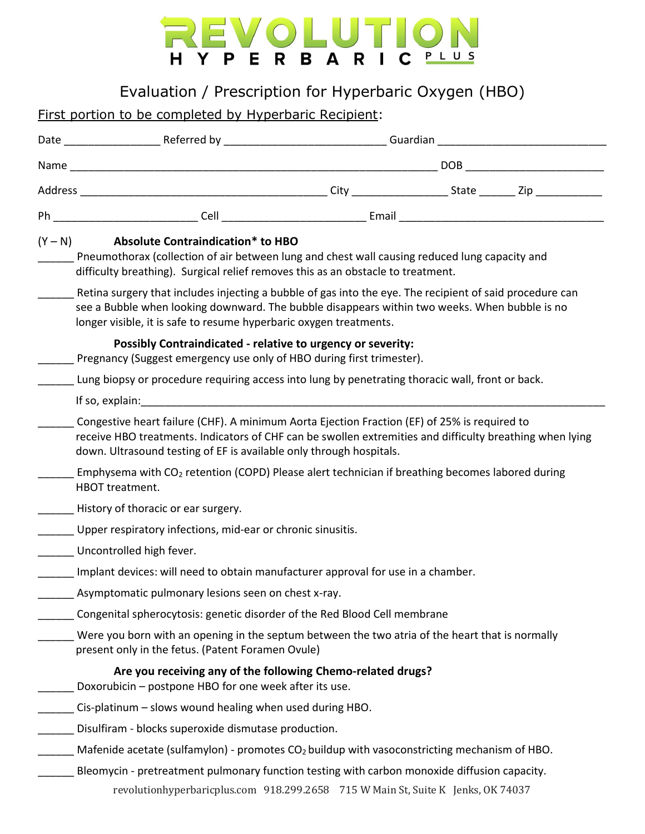## REVOLUTION H Y P E R B A R I C PLUS

Evaluation / Prescription for Hyperbaric Oxygen (HBO)

## First portion to be completed by Hyperbaric Recipient:

|  | $(Y - N)$ Absolute Contraindication* to HBO<br>Pneumothorax (collection of air between lung and chest wall causing reduced lung capacity and<br>difficulty breathing). Surgical relief removes this as an obstacle to treatment.                                                |  |  |  |  |
|--|---------------------------------------------------------------------------------------------------------------------------------------------------------------------------------------------------------------------------------------------------------------------------------|--|--|--|--|
|  | Retina surgery that includes injecting a bubble of gas into the eye. The recipient of said procedure can<br>see a Bubble when looking downward. The bubble disappears within two weeks. When bubble is no<br>longer visible, it is safe to resume hyperbaric oxygen treatments. |  |  |  |  |
|  | Possibly Contraindicated - relative to urgency or severity:<br>Pregnancy (Suggest emergency use only of HBO during first trimester).                                                                                                                                            |  |  |  |  |
|  | Lung biopsy or procedure requiring access into lung by penetrating thoracic wall, front or back.                                                                                                                                                                                |  |  |  |  |
|  |                                                                                                                                                                                                                                                                                 |  |  |  |  |
|  | Congestive heart failure (CHF). A minimum Aorta Ejection Fraction (EF) of 25% is required to<br>receive HBO treatments. Indicators of CHF can be swollen extremities and difficulty breathing when lying<br>down. Ultrasound testing of EF is available only through hospitals. |  |  |  |  |
|  | Emphysema with CO <sub>2</sub> retention (COPD) Please alert technician if breathing becomes labored during<br>HBOT treatment.                                                                                                                                                  |  |  |  |  |
|  | History of thoracic or ear surgery.                                                                                                                                                                                                                                             |  |  |  |  |
|  | Upper respiratory infections, mid-ear or chronic sinusitis.                                                                                                                                                                                                                     |  |  |  |  |
|  | Uncontrolled high fever.                                                                                                                                                                                                                                                        |  |  |  |  |
|  | Implant devices: will need to obtain manufacturer approval for use in a chamber.                                                                                                                                                                                                |  |  |  |  |
|  | Asymptomatic pulmonary lesions seen on chest x-ray.                                                                                                                                                                                                                             |  |  |  |  |
|  | Congenital spherocytosis: genetic disorder of the Red Blood Cell membrane                                                                                                                                                                                                       |  |  |  |  |
|  | Were you born with an opening in the septum between the two atria of the heart that is normally<br>present only in the fetus. (Patent Foramen Ovule)                                                                                                                            |  |  |  |  |
|  | Are you receiving any of the following Chemo-related drugs?<br>Doxorubicin - postpone HBO for one week after its use.                                                                                                                                                           |  |  |  |  |
|  | Cis-platinum - slows wound healing when used during HBO.                                                                                                                                                                                                                        |  |  |  |  |
|  | Disulfiram - blocks superoxide dismutase production.                                                                                                                                                                                                                            |  |  |  |  |
|  | Mafenide acetate (sulfamylon) - promotes CO <sub>2</sub> buildup with vasoconstricting mechanism of HBO.                                                                                                                                                                        |  |  |  |  |
|  | Bleomycin - pretreatment pulmonary function testing with carbon monoxide diffusion capacity.<br>revolutionhyperbaricplus.com 918.299.2658 715 W Main St, Suite K Jenks, OK 74037                                                                                                |  |  |  |  |